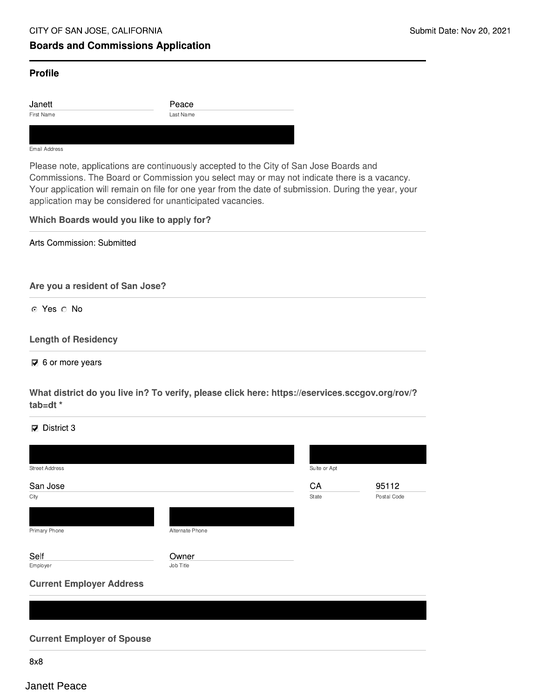# **Boards and Commissions Application**

### **Profile**

Janett First Name

Peace Last Name

#### Email Address

Please note, applications are continuously accepted to the City of San Jose Boards and Commissions. The Board or Commission you select may or may not indicate there is a vacancy. Your application will remain on file for one year from the date of submission. During the year, your application may be considered for unanticipated vacancies.

## Which Boards would you like to apply for?

Arts Commission: Submitted

Are you a resident of San Jose?

⊙ Yes ∩ No

### **Length of Residency**

 $\overline{\mathbf{V}}$  6 or more years

What district do you live in? To verify, please click here: https://eservices.sccgov.org/rov/? tab=dt $*$ 

 $\nabla$  District 3

| <b>Street Address</b>             |                 | Suite or Apt |             |
|-----------------------------------|-----------------|--------------|-------------|
| San Jose                          |                 | CA           | 95112       |
| City                              |                 | State        | Postal Code |
|                                   |                 |              |             |
| Primary Phone                     | Alternate Phone |              |             |
| Self                              | Owner           |              |             |
| Employer                          | Job Title       |              |             |
| <b>Current Employer Address</b>   |                 |              |             |
|                                   |                 |              |             |
|                                   |                 |              |             |
|                                   |                 |              |             |
| <b>Current Employer of Spouse</b> |                 |              |             |

 $8x8$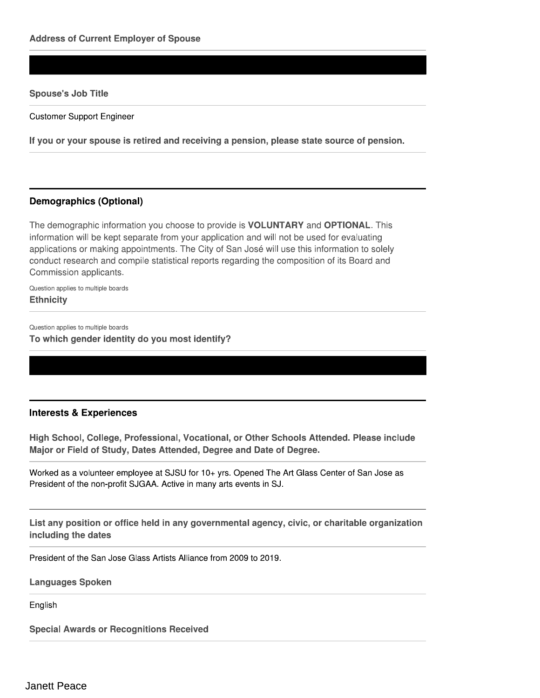### **Spouse's Job Title**

**Customer Support Engineer** 

If you or your spouse is retired and receiving a pension, please state source of pension.

## **Demographics (Optional)**

The demographic information you choose to provide is **VOLUNTARY** and **OPTIONAL**. This information will be kept separate from your application and will not be used for evaluating applications or making appointments. The City of San José will use this information to solely conduct research and compile statistical reports regarding the composition of its Board and Commission applicants.

Question applies to multiple boards **Ethnicity** 

Question applies to multiple boards

To which gender identity do you most identify?

## **Interests & Experiences**

High School, College, Professional, Vocational, or Other Schools Attended. Please include Major or Field of Study, Dates Attended, Degree and Date of Degree.

Worked as a volunteer employee at SJSU for 10+ yrs. Opened The Art Glass Center of San Jose as President of the non-profit SJGAA. Active in many arts events in SJ.

List any position or office held in any governmental agency, civic, or charitable organization including the dates

President of the San Jose Glass Artists Alliance from 2009 to 2019.

**Languages Spoken** 

English

**Special Awards or Recognitions Received**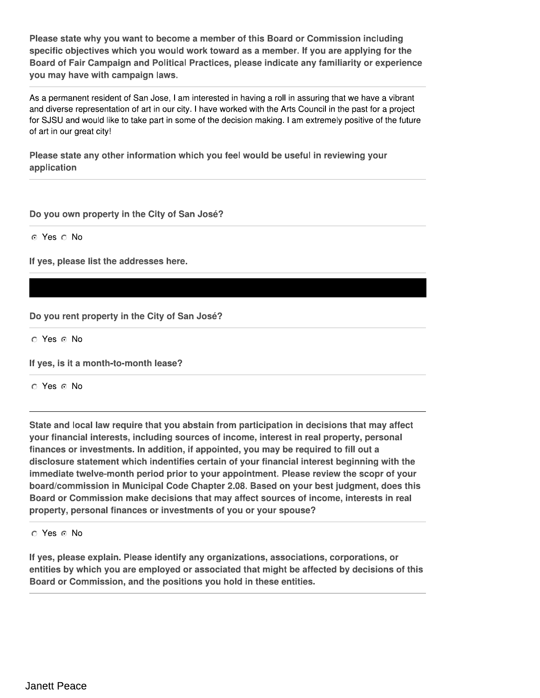Please state why you want to become a member of this Board or Commission including specific objectives which you would work toward as a member. If you are applying for the Board of Fair Campaign and Political Practices, please indicate any familiarity or experience you may have with campaign laws.

As a permanent resident of San Jose, I am interested in having a roll in assuring that we have a vibrant and diverse representation of art in our city. I have worked with the Arts Council in the past for a project for SJSU and would like to take part in some of the decision making. I am extremely positive of the future of art in our great city!

Please state any other information which you feel would be useful in reviewing your application

Do you own property in the City of San José?

⊙ Yes ∩ No

If yes, please list the addresses here.

Do you rent property in the City of San José?

O Yes @ No

If yes, is it a month-to-month lease?

⊙ Yes ⊙ No

State and local law require that you abstain from participation in decisions that may affect your financial interests, including sources of income, interest in real property, personal finances or investments. In addition, if appointed, you may be required to fill out a disclosure statement which indentifies certain of your financial interest beginning with the immediate twelve-month period prior to your appointment. Please review the scopr of your board/commission in Municipal Code Chapter 2.08. Based on your best judgment, does this Board or Commission make decisions that may affect sources of income, interests in real property, personal finances or investments of you or your spouse?

O Yes o No

If yes, please explain. Please identify any organizations, associations, corporations, or entities by which you are employed or associated that might be affected by decisions of this Board or Commission, and the positions you hold in these entities.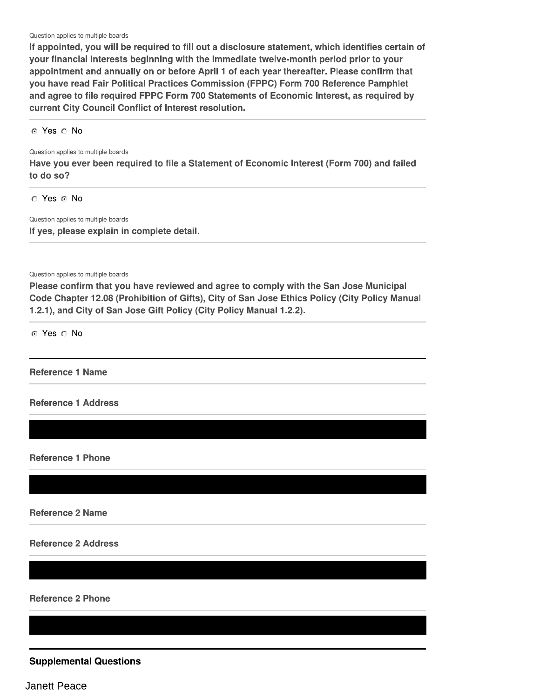Question applies to multiple boards

If appointed, you will be required to fill out a disclosure statement, which identifies certain of your financial interests beginning with the immediate twelve-month period prior to your appointment and annually on or before April 1 of each year thereafter. Please confirm that you have read Fair Political Practices Commission (FPPC) Form 700 Reference Pamphlet and agree to file required FPPC Form 700 Statements of Economic Interest, as required by current City Council Conflict of Interest resolution.

⊙ Yes ∩ No

Question applies to multiple boards

Have you ever been required to file a Statement of Economic Interest (Form 700) and failed to do so?

O Yes O No

Question applies to multiple boards If yes, please explain in complete detail.

Question applies to multiple boards

Please confirm that you have reviewed and agree to comply with the San Jose Municipal Code Chapter 12.08 (Prohibition of Gifts), City of San Jose Ethics Policy (City Policy Manual 1.2.1), and City of San Jose Gift Policy (City Policy Manual 1.2.2).

⊙ Yes ∩ No

**Reference 1 Name** 

**Reference 1 Address** 

**Reference 1 Phone** 

**Reference 2 Name** 

**Reference 2 Address** 

**Reference 2 Phone** 

**Supplemental Questions** 

Janett Peace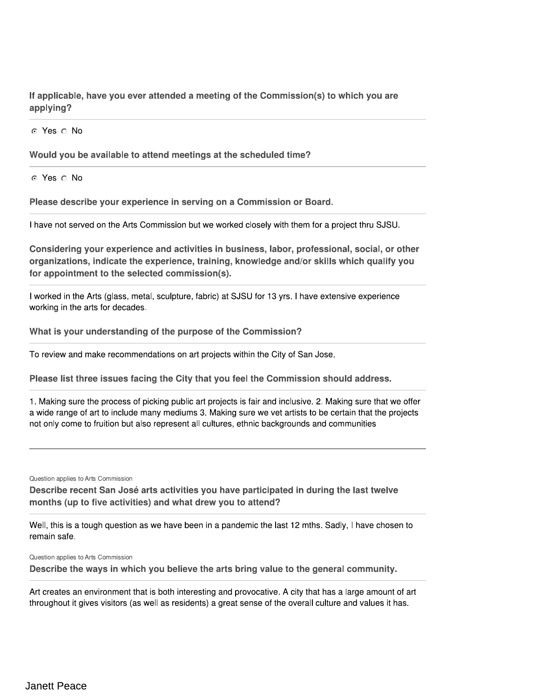If applicable, have you ever attended a meeting of the Commission(s) to which you are applying?

⊙ Yes ∩ No

Would you be available to attend meetings at the scheduled time?

⊙ Yes ∩ No

Please describe your experience in serving on a Commission or Board.

I have not served on the Arts Commission but we worked closely with them for a project thru SJSU.

Considering your experience and activities in business, labor, professional, social, or other organizations, indicate the experience, training, knowledge and/or skills which qualify you for appointment to the selected commission(s).

I worked in the Arts (glass, metal, sculpture, fabric) at SJSU for 13 yrs. I have extensive experience working in the arts for decades.

What is your understanding of the purpose of the Commission?

To review and make recommendations on art projects within the City of San Jose.

Please list three issues facing the City that you feel the Commission should address.

1. Making sure the process of picking public art projects is fair and inclusive. 2. Making sure that we offer a wide range of art to include many mediums 3. Making sure we vet artists to be certain that the projects not only come to fruition but also represent all cultures, ethnic backgrounds and communities

Question applies to Arts Commission

Describe recent San José arts activities you have participated in during the last twelve months (up to five activities) and what drew you to attend?

Well, this is a tough question as we have been in a pandemic the last 12 mths. Sadly, I have chosen to remain safe.

Question applies to Arts Commission

Describe the ways in which you believe the arts bring value to the general community.

Art creates an environment that is both interesting and provocative. A city that has a large amount of art throughout it gives visitors (as well as residents) a great sense of the overall culture and values it has.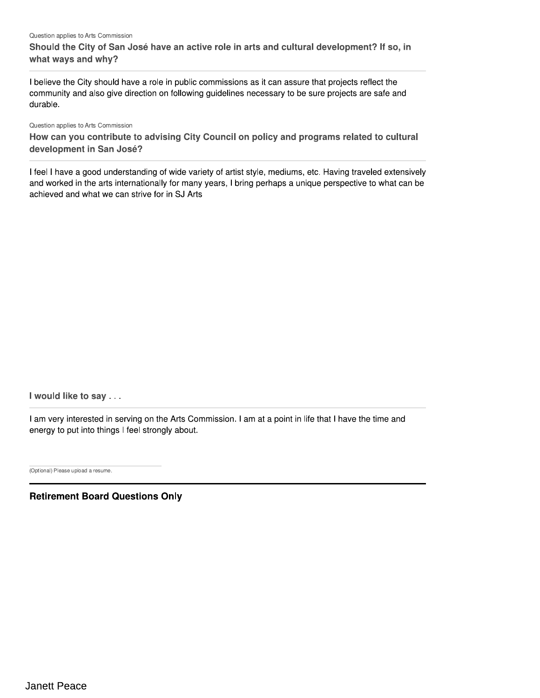#### Question applies to Arts Commission

Should the City of San José have an active role in arts and cultural development? If so, in what ways and why?

I believe the City should have a role in public commissions as it can assure that projects reflect the community and also give direction on following quidelines necessary to be sure projects are safe and durable.

Question applies to Arts Commission

How can you contribute to advising City Council on policy and programs related to cultural development in San José?

I feel I have a good understanding of wide variety of artist style, mediums, etc. Having traveled extensively and worked in the arts internationally for many years, I bring perhaps a unique perspective to what can be achieved and what we can strive for in SJ Arts

I would like to say . . .

I am very interested in serving on the Arts Commission. I am at a point in life that I have the time and energy to put into things I feel strongly about.

(Optional) Please upload a resume.

**Retirement Board Questions Only**